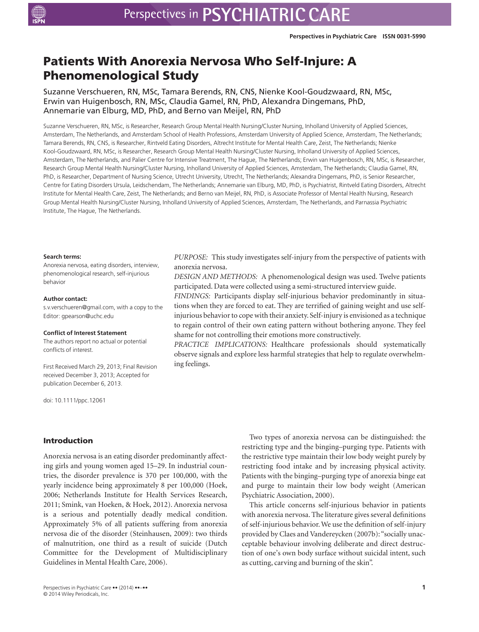

# **Patients With Anorexia Nervosa Who Self-Injure: A Phenomenological Study**

Suzanne Verschueren, RN, MSc, Tamara Berends, RN, CNS, Nienke Kool-Goudzwaard, RN, MSc, Erwin van Huigenbosch, RN, MSc, Claudia Gamel, RN, PhD, Alexandra Dingemans, PhD, Annemarie van Elburg, MD, PhD, and Berno van Meijel, RN, PhD

Suzanne Verschueren, RN, MSc, is Researcher, Research Group Mental Health Nursing/Cluster Nursing, Inholland University of Applied Sciences, Amsterdam, The Netherlands, and Amsterdam School of Health Professions, Amsterdam University of Applied Science, Amsterdam, The Netherlands; Tamara Berends, RN, CNS, is Researcher, Rintveld Eating Disorders, Altrecht Institute for Mental Health Care, Zeist, The Netherlands; Nienke Kool-Goudzwaard, RN, MSc, is Researcher, Research Group Mental Health Nursing/Cluster Nursing, Inholland University of Applied Sciences, Amsterdam, The Netherlands, and Palier Centre for Intensive Treatment, The Hague, The Netherlands; Erwin van Huigenbosch, RN, MSc, is Researcher, Research Group Mental Health Nursing/Cluster Nursing, Inholland University of Applied Sciences, Amsterdam, The Netherlands; Claudia Gamel, RN, PhD, is Researcher, Department of Nursing Science, Utrecht University, Utrecht, The Netherlands; Alexandra Dingemans, PhD, is Senior Researcher, Centre for Eating Disorders Ursula, Leidschendam, The Netherlands; Annemarie van Elburg, MD, PhD, is Psychiatrist, Rintveld Eating Disorders, Altrecht Institute for Mental Health Care, Zeist, The Netherlands; and Berno van Meijel, RN, PhD, is Associate Professor of Mental Health Nursing, Research Group Mental Health Nursing/Cluster Nursing, Inholland University of Applied Sciences, Amsterdam, The Netherlands, and Parnassia Psychiatric Institute, The Hague, The Netherlands.

#### **Search terms:**

Anorexia nervosa, eating disorders, interview, phenomenological research, self-injurious behavior

#### **Author contact:**

[s.v.verschueren@gmail.com,](mailto:s.v.verschueren@gmail.com) with a copy to the Editor: [gpearson@uchc.edu](mailto:gpearson@uchc.edu)

#### **Conflict of Interest Statement**

The authors report no actual or potential conflicts of interest.

First Received March 29, 2013; Final Revision received December 3, 2013; Accepted for publication December 6, 2013.

doi: 10.1111/ppc.12061

*PURPOSE:* This study investigates self-injury from the perspective of patients with anorexia nervosa.

*DESIGN AND METHODS:* A phenomenological design was used. Twelve patients participated. Data were collected using a semi-structured interview guide.

*FINDINGS:* Participants display self-injurious behavior predominantly in situations when they are forced to eat. They are terrified of gaining weight and use selfinjurious behavior to cope with their anxiety. Self-injury is envisioned as a technique to regain control of their own eating pattern without bothering anyone. They feel shame for not controlling their emotions more constructively.

*PRACTICE IMPLICATIONS:* Healthcare professionals should systematically observe signals and explore less harmful strategies that help to regulate overwhelming feelings.

### **Introduction**

Anorexia nervosa is an eating disorder predominantly affecting girls and young women aged 15–29. In industrial countries, the disorder prevalence is 370 per 100,000, with the yearly incidence being approximately 8 per 100,000 (Hoek, 2006; Netherlands Institute for Health Services Research, 2011; Smink, van Hoeken, & Hoek, 2012). Anorexia nervosa is a serious and potentially deadly medical condition. Approximately 5% of all patients suffering from anorexia nervosa die of the disorder (Steinhausen, 2009): two thirds of malnutrition, one third as a result of suicide (Dutch Committee for the Development of Multidisciplinary Guidelines in Mental Health Care, 2006).

Two types of anorexia nervosa can be distinguished: the restricting type and the binging–purging type. Patients with the restrictive type maintain their low body weight purely by restricting food intake and by increasing physical activity. Patients with the binging–purging type of anorexia binge eat and purge to maintain their low body weight (American Psychiatric Association, 2000).

This article concerns self-injurious behavior in patients with anorexia nervosa. The literature gives several definitions of self-injurious behavior.We use the definition of self-injury provided by Claes and Vandereycken (2007b): "socially unacceptable behaviour involving deliberate and direct destruction of one's own body surface without suicidal intent, such as cutting, carving and burning of the skin".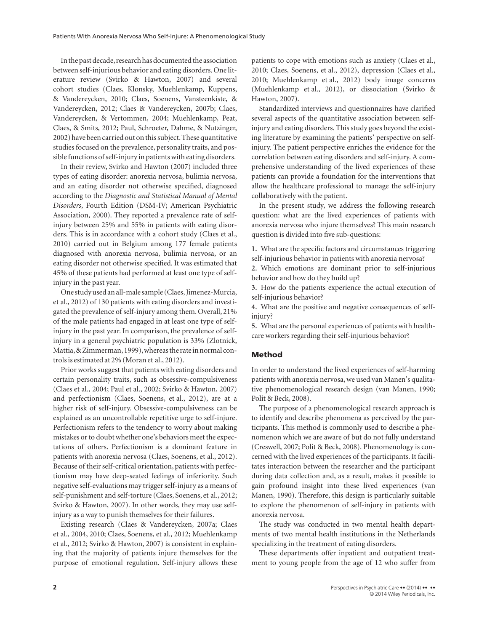In the past decade, research has documented the association between self-injurious behavior and eating disorders. One literature review (Svirko & Hawton, 2007) and several cohort studies (Claes, Klonsky, Muehlenkamp, Kuppens, & Vandereycken, 2010; Claes, Soenens, Vansteenkiste, & Vandereycken, 2012; Claes & Vandereycken, 2007b; Claes, Vandereycken, & Vertommen, 2004; Muehlenkamp, Peat, Claes, & Smits, 2012; Paul, Schroeter, Dahme, & Nutzinger, 2002) have been carried out on this subject.These quantitative studies focused on the prevalence, personality traits, and possible functions of self-injury in patients with eating disorders.

In their review, Svirko and Hawton (2007) included three types of eating disorder: anorexia nervosa, bulimia nervosa, and an eating disorder not otherwise specified, diagnosed according to the *Diagnostic and Statistical Manual of Mental Disorders*, Fourth Edition (DSM-IV; American Psychiatric Association, 2000). They reported a prevalence rate of selfinjury between 25% and 55% in patients with eating disorders. This is in accordance with a cohort study (Claes et al., 2010) carried out in Belgium among 177 female patients diagnosed with anorexia nervosa, bulimia nervosa, or an eating disorder not otherwise specified. It was estimated that 45% of these patients had performed at least one type of selfinjury in the past year.

One study used an all-male sample (Claes, Jimenez-Murcia, et al., 2012) of 130 patients with eating disorders and investigated the prevalence of self-injury among them. Overall, 21% of the male patients had engaged in at least one type of selfinjury in the past year. In comparison, the prevalence of selfinjury in a general psychiatric population is 33% (Zlotnick, Mattia, & Zimmerman, 1999), whereas the rate in normal controls is estimated at 2% (Moran et al., 2012).

Prior works suggest that patients with eating disorders and certain personality traits, such as obsessive-compulsiveness (Claes et al., 2004; Paul et al., 2002; Svirko & Hawton, 2007) and perfectionism (Claes, Soenens, et al., 2012), are at a higher risk of self-injury. Obsessive-compulsiveness can be explained as an uncontrollable repetitive urge to self-injure. Perfectionism refers to the tendency to worry about making mistakes or to doubt whether one's behaviors meet the expectations of others. Perfectionism is a dominant feature in patients with anorexia nervosa (Claes, Soenens, et al., 2012). Because of their self-critical orientation, patients with perfectionism may have deep-seated feelings of inferiority. Such negative self-evaluations may trigger self-injury as a means of self-punishment and self-torture (Claes, Soenens, et al., 2012; Svirko & Hawton, 2007). In other words, they may use selfinjury as a way to punish themselves for their failures.

Existing research (Claes & Vandereycken, 2007a; Claes et al., 2004, 2010; Claes, Soenens, et al., 2012; Muehlenkamp et al., 2012; Svirko & Hawton, 2007) is consistent in explaining that the majority of patients injure themselves for the purpose of emotional regulation. Self-injury allows these patients to cope with emotions such as anxiety (Claes et al., 2010; Claes, Soenens, et al., 2012), depression (Claes et al., 2010; Muehlenkamp et al., 2012) body image concerns (Muehlenkamp et al., 2012), or dissociation (Svirko & Hawton, 2007).

Standardized interviews and questionnaires have clarified several aspects of the quantitative association between selfinjury and eating disorders. This study goes beyond the existing literature by examining the patients' perspective on selfinjury. The patient perspective enriches the evidence for the correlation between eating disorders and self-injury. A comprehensive understanding of the lived experiences of these patients can provide a foundation for the interventions that allow the healthcare professional to manage the self-injury collaboratively with the patient.

In the present study, we address the following research question: what are the lived experiences of patients with anorexia nervosa who injure themselves? This main research question is divided into five sub-questions:

**1.** What are the specific factors and circumstances triggering self-injurious behavior in patients with anorexia nervosa?

**2.** Which emotions are dominant prior to self-injurious behavior and how do they build up?

**3.** How do the patients experience the actual execution of self-injurious behavior?

**4.** What are the positive and negative consequences of selfinjury?

**5.** What are the personal experiences of patients with healthcare workers regarding their self-injurious behavior?

# **Method**

In order to understand the lived experiences of self-harming patients with anorexia nervosa, we used van Manen's qualitative phenomenological research design (van Manen, 1990; Polit & Beck, 2008).

The purpose of a phenomenological research approach is to identify and describe phenomena as perceived by the participants. This method is commonly used to describe a phenomenon which we are aware of but do not fully understand (Creswell, 2007; Polit & Beck, 2008). Phenomenology is concerned with the lived experiences of the participants. It facilitates interaction between the researcher and the participant during data collection and, as a result, makes it possible to gain profound insight into these lived experiences (van Manen, 1990). Therefore, this design is particularly suitable to explore the phenomenon of self-injury in patients with anorexia nervosa.

The study was conducted in two mental health departments of two mental health institutions in the Netherlands specializing in the treatment of eating disorders.

These departments offer inpatient and outpatient treatment to young people from the age of 12 who suffer from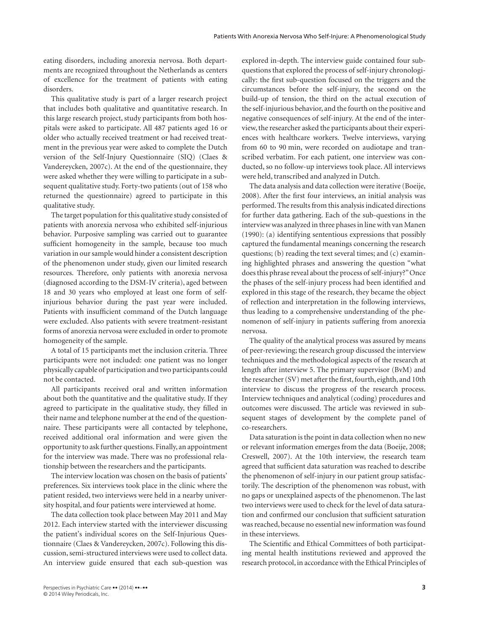eating disorders, including anorexia nervosa. Both departments are recognized throughout the Netherlands as centers of excellence for the treatment of patients with eating disorders.

This qualitative study is part of a larger research project that includes both qualitative and quantitative research. In this large research project, study participants from both hospitals were asked to participate. All 487 patients aged 16 or older who actually received treatment or had received treatment in the previous year were asked to complete the Dutch version of the Self-Injury Questionnaire (SIQ) (Claes & Vandereycken, 2007c). At the end of the questionnaire, they were asked whether they were willing to participate in a subsequent qualitative study. Forty-two patients (out of 158 who returned the questionnaire) agreed to participate in this qualitative study.

The target population for this qualitative study consisted of patients with anorexia nervosa who exhibited self-injurious behavior. Purposive sampling was carried out to guarantee sufficient homogeneity in the sample, because too much variation in our sample would hinder a consistent description of the phenomenon under study, given our limited research resources. Therefore, only patients with anorexia nervosa (diagnosed according to the DSM-IV criteria), aged between 18 and 30 years who employed at least one form of selfinjurious behavior during the past year were included. Patients with insufficient command of the Dutch language were excluded. Also patients with severe treatment-resistant forms of anorexia nervosa were excluded in order to promote homogeneity of the sample.

A total of 15 participants met the inclusion criteria. Three participants were not included: one patient was no longer physically capable of participation and two participants could not be contacted.

All participants received oral and written information about both the quantitative and the qualitative study. If they agreed to participate in the qualitative study, they filled in their name and telephone number at the end of the questionnaire. These participants were all contacted by telephone, received additional oral information and were given the opportunity to ask further questions. Finally, an appointment for the interview was made. There was no professional relationship between the researchers and the participants.

The interview location was chosen on the basis of patients' preferences. Six interviews took place in the clinic where the patient resided, two interviews were held in a nearby university hospital, and four patients were interviewed at home.

The data collection took place between May 2011 and May 2012. Each interview started with the interviewer discussing the patient's individual scores on the Self-Injurious Questionnaire (Claes & Vandereycken, 2007c). Following this discussion, semi-structured interviews were used to collect data. An interview guide ensured that each sub-question was

explored in-depth. The interview guide contained four subquestions that explored the process of self-injury chronologically: the first sub-question focused on the triggers and the circumstances before the self-injury, the second on the build-up of tension, the third on the actual execution of the self-injurious behavior, and the fourth on the positive and negative consequences of self-injury. At the end of the interview, the researcher asked the participants about their experiences with healthcare workers. Twelve interviews, varying from 60 to 90 min, were recorded on audiotape and transcribed verbatim. For each patient, one interview was conducted, so no follow-up interviews took place. All interviews were held, transcribed and analyzed in Dutch.

The data analysis and data collection were iterative (Boeije, 2008). After the first four interviews, an initial analysis was performed. The results from this analysis indicated directions for further data gathering. Each of the sub-questions in the interview was analyzed in three phases in line with van Manen (1990): (a) identifying sententious expressions that possibly captured the fundamental meanings concerning the research questions; (b) reading the text several times; and (c) examining highlighted phrases and answering the question "what does this phrase reveal about the process of self-injury?"Once the phases of the self-injury process had been identified and explored in this stage of the research, they became the object of reflection and interpretation in the following interviews, thus leading to a comprehensive understanding of the phenomenon of self-injury in patients suffering from anorexia nervosa.

The quality of the analytical process was assured by means of peer-reviewing; the research group discussed the interview techniques and the methodological aspects of the research at length after interview 5. The primary supervisor (BvM) and the researcher (SV) met after the first, fourth, eighth, and 10th interview to discuss the progress of the research process. Interview techniques and analytical (coding) procedures and outcomes were discussed. The article was reviewed in subsequent stages of development by the complete panel of co-researchers.

Data saturation is the point in data collection when no new or relevant information emerges from the data (Boeije, 2008; Creswell, 2007). At the 10th interview, the research team agreed that sufficient data saturation was reached to describe the phenomenon of self-injury in our patient group satisfactorily. The description of the phenomenon was robust, with no gaps or unexplained aspects of the phenomenon. The last two interviews were used to check for the level of data saturation and confirmed our conclusion that sufficient saturation was reached, because no essential new information was found in these interviews.

The Scientific and Ethical Committees of both participating mental health institutions reviewed and approved the research protocol, in accordance with the Ethical Principles of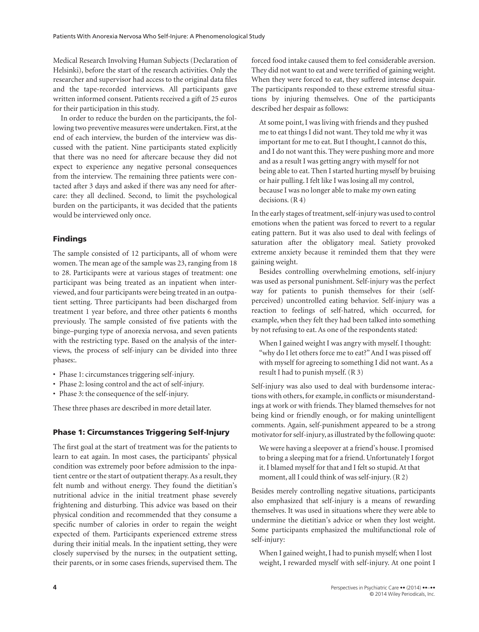Medical Research Involving Human Subjects (Declaration of Helsinki), before the start of the research activities. Only the researcher and supervisor had access to the original data files and the tape-recorded interviews. All participants gave written informed consent. Patients received a gift of 25 euros for their participation in this study.

In order to reduce the burden on the participants, the following two preventive measures were undertaken. First, at the end of each interview, the burden of the interview was discussed with the patient. Nine participants stated explicitly that there was no need for aftercare because they did not expect to experience any negative personal consequences from the interview. The remaining three patients were contacted after 3 days and asked if there was any need for aftercare: they all declined. Second, to limit the psychological burden on the participants, it was decided that the patients would be interviewed only once.

# **Findings**

The sample consisted of 12 participants, all of whom were women. The mean age of the sample was 23, ranging from 18 to 28. Participants were at various stages of treatment: one participant was being treated as an inpatient when interviewed, and four participants were being treated in an outpatient setting. Three participants had been discharged from treatment 1 year before, and three other patients 6 months previously. The sample consisted of five patients with the binge–purging type of anorexia nervosa, and seven patients with the restricting type. Based on the analysis of the interviews, the process of self-injury can be divided into three phases:.

- **•** Phase 1: circumstances triggering self-injury.
- **•** Phase 2: losing control and the act of self-injury.
- **•** Phase 3: the consequence of the self-injury.

These three phases are described in more detail later.

# **Phase 1: Circumstances Triggering Self-Injury**

The first goal at the start of treatment was for the patients to learn to eat again. In most cases, the participants' physical condition was extremely poor before admission to the inpatient centre or the start of outpatient therapy. As a result, they felt numb and without energy. They found the dietitian's nutritional advice in the initial treatment phase severely frightening and disturbing. This advice was based on their physical condition and recommended that they consume a specific number of calories in order to regain the weight expected of them. Participants experienced extreme stress during their initial meals. In the inpatient setting, they were closely supervised by the nurses; in the outpatient setting, their parents, or in some cases friends, supervised them. The

forced food intake caused them to feel considerable aversion. They did not want to eat and were terrified of gaining weight. When they were forced to eat, they suffered intense despair. The participants responded to these extreme stressful situations by injuring themselves. One of the participants described her despair as follows:

At some point, I was living with friends and they pushed me to eat things I did not want. They told me why it was important for me to eat. But I thought, I cannot do this, and I do not want this. They were pushing more and more and as a result I was getting angry with myself for not being able to eat. Then I started hurting myself by bruising or hair pulling. I felt like I was losing all my control, because I was no longer able to make my own eating decisions. (R 4)

In the early stages of treatment, self-injury was used to control emotions when the patient was forced to revert to a regular eating pattern. But it was also used to deal with feelings of saturation after the obligatory meal. Satiety provoked extreme anxiety because it reminded them that they were gaining weight.

Besides controlling overwhelming emotions, self-injury was used as personal punishment. Self-injury was the perfect way for patients to punish themselves for their (selfperceived) uncontrolled eating behavior. Self-injury was a reaction to feelings of self-hatred, which occurred, for example, when they felt they had been talked into something by not refusing to eat. As one of the respondents stated:

When I gained weight I was angry with myself. I thought: "why do I let others force me to eat?"And I was pissed off with myself for agreeing to something I did not want. As a result I had to punish myself. (R 3)

Self-injury was also used to deal with burdensome interactions with others, for example, in conflicts or misunderstandings at work or with friends. They blamed themselves for not being kind or friendly enough, or for making unintelligent comments. Again, self-punishment appeared to be a strong motivator for self-injury, as illustrated by the following quote:

We were having a sleepover at a friend's house. I promised to bring a sleeping mat for a friend. Unfortunately I forgot it. I blamed myself for that and I felt so stupid. At that moment, all I could think of was self-injury. (R 2)

Besides merely controlling negative situations, participants also emphasized that self-injury is a means of rewarding themselves. It was used in situations where they were able to undermine the dietitian's advice or when they lost weight. Some participants emphasized the multifunctional role of self-injury:

When I gained weight, I had to punish myself; when I lost weight, I rewarded myself with self-injury. At one point I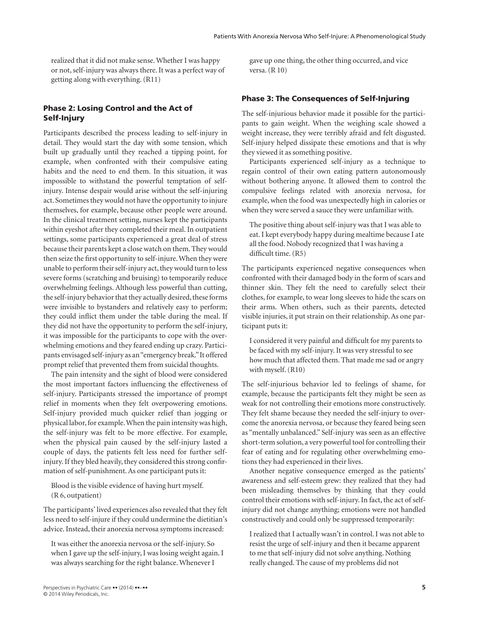realized that it did not make sense.Whether I was happy or not, self-injury was always there. It was a perfect way of getting along with everything. (R11)

# **Phase 2: Losing Control and the Act of Self-Injury**

Participants described the process leading to self-injury in detail. They would start the day with some tension, which built up gradually until they reached a tipping point, for example, when confronted with their compulsive eating habits and the need to end them. In this situation, it was impossible to withstand the powerful temptation of selfinjury. Intense despair would arise without the self-injuring act. Sometimes they would not have the opportunity to injure themselves, for example, because other people were around. In the clinical treatment setting, nurses kept the participants within eyeshot after they completed their meal. In outpatient settings, some participants experienced a great deal of stress because their parents kept a close watch on them. They would then seize the first opportunity to self-injure.When they were unable to perform their self-injury act, they would turn to less severe forms (scratching and bruising) to temporarily reduce overwhelming feelings. Although less powerful than cutting, the self-injury behavior that they actually desired, these forms were invisible to bystanders and relatively easy to perform; they could inflict them under the table during the meal. If they did not have the opportunity to perform the self-injury, it was impossible for the participants to cope with the overwhelming emotions and they feared ending up crazy. Participants envisaged self-injury as an"emergency break." It offered prompt relief that prevented them from suicidal thoughts.

The pain intensity and the sight of blood were considered the most important factors influencing the effectiveness of self-injury. Participants stressed the importance of prompt relief in moments when they felt overpowering emotions. Self-injury provided much quicker relief than jogging or physical labor, for example. When the pain intensity was high, the self-injury was felt to be more effective. For example, when the physical pain caused by the self-injury lasted a couple of days, the patients felt less need for further selfinjury. If they bled heavily, they considered this strong confirmation of self-punishment. As one participant puts it:

Blood is the visible evidence of having hurt myself. (R 6, outpatient)

The participants' lived experiences also revealed that they felt less need to self-injure if they could undermine the dietitian's advice. Instead, their anorexia nervosa symptoms increased:

It was either the anorexia nervosa or the self-injury. So when I gave up the self-injury, I was losing weight again. I was always searching for the right balance.Whenever I

gave up one thing, the other thing occurred, and vice versa. (R 10)

### **Phase 3: The Consequences of Self-Injuring**

The self-injurious behavior made it possible for the participants to gain weight. When the weighing scale showed a weight increase, they were terribly afraid and felt disgusted. Self-injury helped dissipate these emotions and that is why they viewed it as something positive.

Participants experienced self-injury as a technique to regain control of their own eating pattern autonomously without bothering anyone. It allowed them to control the compulsive feelings related with anorexia nervosa, for example, when the food was unexpectedly high in calories or when they were served a sauce they were unfamiliar with.

The positive thing about self-injury was that I was able to eat. I kept everybody happy during mealtime because I ate all the food. Nobody recognized that I was having a difficult time. (R5)

The participants experienced negative consequences when confronted with their damaged body in the form of scars and thinner skin. They felt the need to carefully select their clothes, for example, to wear long sleeves to hide the scars on their arms. When others, such as their parents, detected visible injuries, it put strain on their relationship. As one participant puts it:

I considered it very painful and difficult for my parents to be faced with my self-injury. It was very stressful to see how much that affected them. That made me sad or angry with myself. (R10)

The self-injurious behavior led to feelings of shame, for example, because the participants felt they might be seen as weak for not controlling their emotions more constructively. They felt shame because they needed the self-injury to overcome the anorexia nervosa, or because they feared being seen as "mentally unbalanced." Self-injury was seen as an effective short-term solution, a very powerful tool for controlling their fear of eating and for regulating other overwhelming emotions they had experienced in their lives.

Another negative consequence emerged as the patients' awareness and self-esteem grew: they realized that they had been misleading themselves by thinking that they could control their emotions with self-injury. In fact, the act of selfinjury did not change anything; emotions were not handled constructively and could only be suppressed temporarily:

I realized that I actually wasn't in control. I was not able to resist the urge of self-injury and then it became apparent to me that self-injury did not solve anything. Nothing really changed. The cause of my problems did not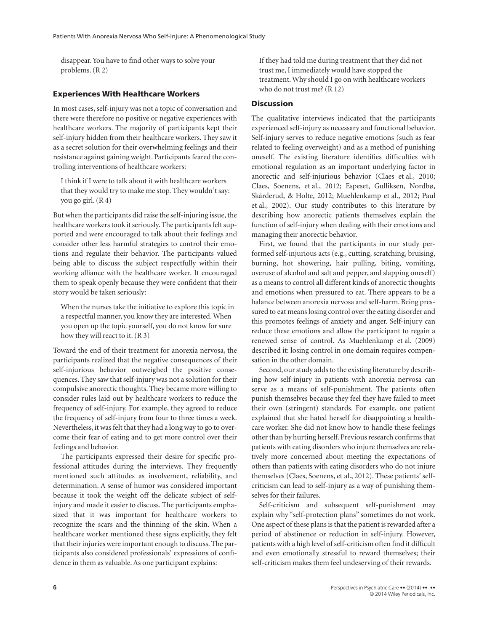disappear. You have to find other ways to solve your problems. (R 2)

### **Experiences With Healthcare Workers**

In most cases, self-injury was not a topic of conversation and there were therefore no positive or negative experiences with healthcare workers. The majority of participants kept their self-injury hidden from their healthcare workers. They saw it as a secret solution for their overwhelming feelings and their resistance against gaining weight. Participants feared the controlling interventions of healthcare workers:

I think if I were to talk about it with healthcare workers that they would try to make me stop. They wouldn't say: you go girl. (R 4)

But when the participants did raise the self-injuring issue, the healthcare workers took it seriously. The participants felt supported and were encouraged to talk about their feelings and consider other less harmful strategies to control their emotions and regulate their behavior. The participants valued being able to discuss the subject respectfully within their working alliance with the healthcare worker. It encouraged them to speak openly because they were confident that their story would be taken seriously:

When the nurses take the initiative to explore this topic in a respectful manner, you know they are interested.When you open up the topic yourself, you do not know for sure how they will react to it. (R 3)

Toward the end of their treatment for anorexia nervosa, the participants realized that the negative consequences of their self-injurious behavior outweighed the positive consequences. They saw that self-injury was not a solution for their compulsive anorectic thoughts. They became more willing to consider rules laid out by healthcare workers to reduce the frequency of self-injury. For example, they agreed to reduce the frequency of self-injury from four to three times a week. Nevertheless, it was felt that they had a long way to go to overcome their fear of eating and to get more control over their feelings and behavior.

The participants expressed their desire for specific professional attitudes during the interviews. They frequently mentioned such attitudes as involvement, reliability, and determination. A sense of humor was considered important because it took the weight off the delicate subject of selfinjury and made it easier to discuss. The participants emphasized that it was important for healthcare workers to recognize the scars and the thinning of the skin. When a healthcare worker mentioned these signs explicitly, they felt that their injuries were important enough to discuss. The participants also considered professionals' expressions of confidence in them as valuable. As one participant explains:

If they had told me during treatment that they did not trust me, I immediately would have stopped the treatment.Why should I go on with healthcare workers who do not trust me? (R 12)

# **Discussion**

The qualitative interviews indicated that the participants experienced self-injury as necessary and functional behavior. Self-injury serves to reduce negative emotions (such as fear related to feeling overweight) and as a method of punishing oneself. The existing literature identifies difficulties with emotional regulation as an important underlying factor in anorectic and self-injurious behavior (Claes et al., 2010; Claes, Soenens, et al., 2012; Espeset, Gulliksen, Nordbø, Skårderud, & Holte, 2012; Muehlenkamp et al., 2012; Paul et al., 2002). Our study contributes to this literature by describing how anorectic patients themselves explain the function of self-injury when dealing with their emotions and managing their anorectic behavior.

First, we found that the participants in our study performed self-injurious acts (e.g., cutting, scratching, bruising, burning, hot showering, hair pulling, biting, vomiting, overuse of alcohol and salt and pepper, and slapping oneself) as a means to control all different kinds of anorectic thoughts and emotions when pressured to eat. There appears to be a balance between anorexia nervosa and self-harm. Being pressured to eat means losing control over the eating disorder and this promotes feelings of anxiety and anger. Self-injury can reduce these emotions and allow the participant to regain a renewed sense of control. As Muehlenkamp et al. (2009) described it: losing control in one domain requires compensation in the other domain.

Second, our study adds to the existing literature by describing how self-injury in patients with anorexia nervosa can serve as a means of self-punishment. The patients often punish themselves because they feel they have failed to meet their own (stringent) standards. For example, one patient explained that she hated herself for disappointing a healthcare worker. She did not know how to handle these feelings other than by hurting herself. Previous research confirms that patients with eating disorders who injure themselves are relatively more concerned about meeting the expectations of others than patients with eating disorders who do not injure themselves (Claes, Soenens, et al., 2012). These patients' selfcriticism can lead to self-injury as a way of punishing themselves for their failures.

Self-criticism and subsequent self-punishment may explain why "self-protection plans" sometimes do not work. One aspect of these plans is that the patient is rewarded after a period of abstinence or reduction in self-injury. However, patients with a high level of self-criticism often find it difficult and even emotionally stressful to reward themselves; their self-criticism makes them feel undeserving of their rewards.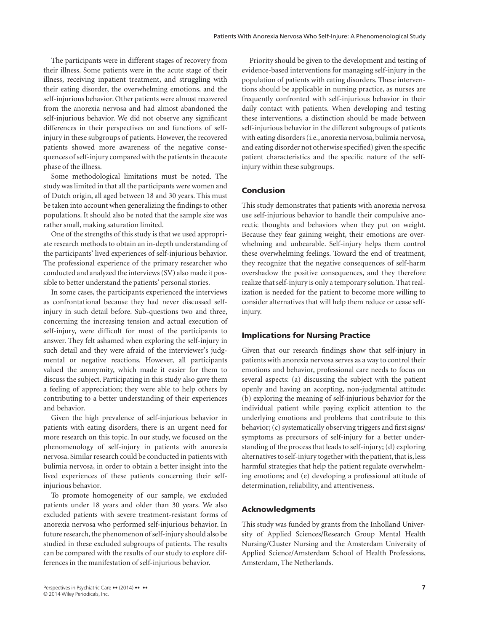The participants were in different stages of recovery from their illness. Some patients were in the acute stage of their illness, receiving inpatient treatment, and struggling with their eating disorder, the overwhelming emotions, and the self-injurious behavior. Other patients were almost recovered from the anorexia nervosa and had almost abandoned the self-injurious behavior. We did not observe any significant differences in their perspectives on and functions of selfinjury in these subgroups of patients. However, the recovered patients showed more awareness of the negative consequences of self-injury compared with the patients in the acute phase of the illness.

Some methodological limitations must be noted. The study was limited in that all the participants were women and of Dutch origin, all aged between 18 and 30 years. This must be taken into account when generalizing the findings to other populations. It should also be noted that the sample size was rather small, making saturation limited.

One of the strengths of this study is that we used appropriate research methods to obtain an in-depth understanding of the participants' lived experiences of self-injurious behavior. The professional experience of the primary researcher who conducted and analyzed the interviews (SV) also made it possible to better understand the patients' personal stories.

In some cases, the participants experienced the interviews as confrontational because they had never discussed selfinjury in such detail before. Sub-questions two and three, concerning the increasing tension and actual execution of self-injury, were difficult for most of the participants to answer. They felt ashamed when exploring the self-injury in such detail and they were afraid of the interviewer's judgmental or negative reactions. However, all participants valued the anonymity, which made it easier for them to discuss the subject. Participating in this study also gave them a feeling of appreciation; they were able to help others by contributing to a better understanding of their experiences and behavior.

Given the high prevalence of self-injurious behavior in patients with eating disorders, there is an urgent need for more research on this topic. In our study, we focused on the phenomenology of self-injury in patients with anorexia nervosa. Similar research could be conducted in patients with bulimia nervosa, in order to obtain a better insight into the lived experiences of these patients concerning their selfinjurious behavior.

To promote homogeneity of our sample, we excluded patients under 18 years and older than 30 years. We also excluded patients with severe treatment-resistant forms of anorexia nervosa who performed self-injurious behavior. In future research, the phenomenon of self-injury should also be studied in these excluded subgroups of patients. The results can be compared with the results of our study to explore differences in the manifestation of self-injurious behavior.

Priority should be given to the development and testing of evidence-based interventions for managing self-injury in the population of patients with eating disorders. These interventions should be applicable in nursing practice, as nurses are frequently confronted with self-injurious behavior in their daily contact with patients. When developing and testing these interventions, a distinction should be made between self-injurious behavior in the different subgroups of patients with eating disorders (i.e., anorexia nervosa, bulimia nervosa, and eating disorder not otherwise specified) given the specific patient characteristics and the specific nature of the selfinjury within these subgroups.

# **Conclusion**

This study demonstrates that patients with anorexia nervosa use self-injurious behavior to handle their compulsive anorectic thoughts and behaviors when they put on weight. Because they fear gaining weight, their emotions are overwhelming and unbearable. Self-injury helps them control these overwhelming feelings. Toward the end of treatment, they recognize that the negative consequences of self-harm overshadow the positive consequences, and they therefore realize that self-injury is only a temporary solution. That realization is needed for the patient to become more willing to consider alternatives that will help them reduce or cease selfinjury.

# **Implications for Nursing Practice**

Given that our research findings show that self-injury in patients with anorexia nervosa serves as a way to control their emotions and behavior, professional care needs to focus on several aspects: (a) discussing the subject with the patient openly and having an accepting, non-judgmental attitude; (b) exploring the meaning of self-injurious behavior for the individual patient while paying explicit attention to the underlying emotions and problems that contribute to this behavior; (c) systematically observing triggers and first signs/ symptoms as precursors of self-injury for a better understanding of the process that leads to self-injury; (d) exploring alternatives to self-injury together with the patient, that is,less harmful strategies that help the patient regulate overwhelming emotions; and (e) developing a professional attitude of determination, reliability, and attentiveness.

# **Acknowledgments**

This study was funded by grants from the Inholland University of Applied Sciences/Research Group Mental Health Nursing/Cluster Nursing and the Amsterdam University of Applied Science/Amsterdam School of Health Professions, Amsterdam, The Netherlands.